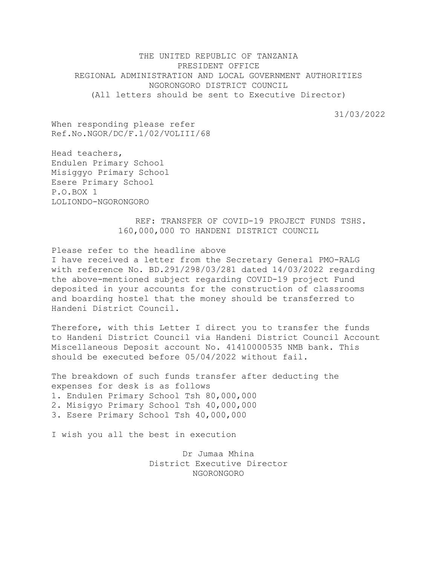THE UNITED REPUBLIC OF TANZANIA PRESIDENT OFFICE REGIONAL ADMINISTRATION AND LOCAL GOVERNMENT AUTHORITIES NGORONGORO DISTRICT COUNCIL (All letters should be sent to Executive Director)

31/03/2022

When responding please refer Ref.No.NGOR/DC/F.1/02/VOLIII/68

Head teachers, Endulen Primary School Misiggyo Primary School Esere Primary School P.O.BOX 1 LOLIONDO-NGORONGORO

> REF: TRANSFER OF COVID-19 PROJECT FUNDS TSHS. 160,000,000 TO HANDENI DISTRICT COUNCIL

Please refer to the headline above

I have received a letter from the Secretary General PMO-RALG with reference No. BD.291/298/03/281 dated 14/03/2022 regarding the above-mentioned subject regarding COVID-19 project Fund deposited in your accounts for the construction of classrooms and boarding hostel that the money should be transferred to Handeni District Council.

Therefore, with this Letter I direct you to transfer the funds to Handeni District Council via Handeni District Council Account Miscellaneous Deposit account No. 41410000535 NMB bank. This should be executed before 05/04/2022 without fail.

The breakdown of such funds transfer after deducting the expenses for desk is as follows 1. Endulen Primary School Tsh 80,000,000 2. Misigyo Primary School Tsh 40,000,000 3. Esere Primary School Tsh 40,000,000

I wish you all the best in execution

Dr Jumaa Mhina District Executive Director NGORONGORO